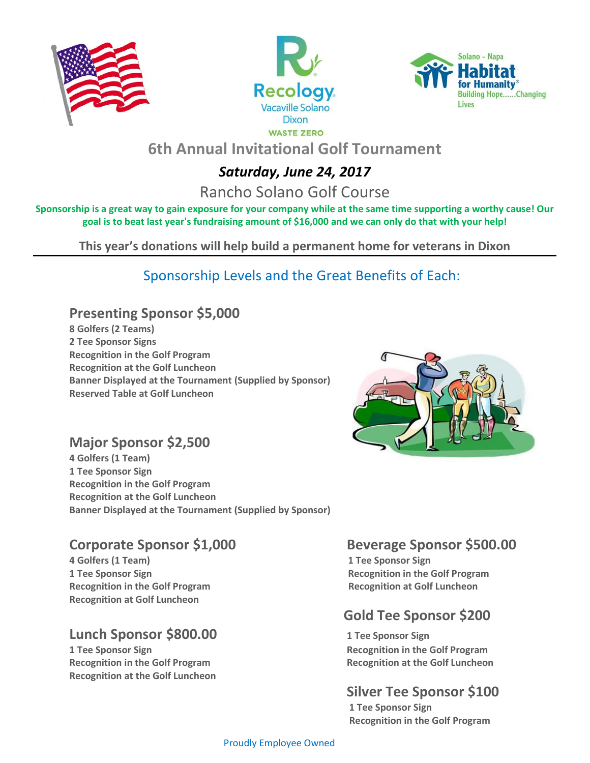

i<br>I





# **6th Annual Invitational Golf Tournament**

## *Saturday, June 24, 2017*

Rancho Solano Golf Course

**Sponsorship is a great way to gain exposure for your company while at the same time supporting a worthy cause! Our goal is to beat last year's fundraising amount of \$16,000 and we can only do that with your help!**

**This year's donations will help build a permanent home for veterans in Dixon** 

## Sponsorship Levels and the Great Benefits of Each:

## **Presenting Sponsor \$5,000**

**8 Golfers (2 Teams) 2 Tee Sponsor Signs Recognition in the Golf Program Recognition at the Golf Luncheon Banner Displayed at the Tournament (Supplied by Sponsor) Reserved Table at Golf Luncheon**



### **Major Sponsor \$2,500**

**4 Golfers (1 Team) 1 Tee Sponsor Sign Recognition in the Golf Program Recognition at the Golf Luncheon Banner Displayed at the Tournament (Supplied by Sponsor)**

**4 Golfers (1 Team) 1 Tee Sponsor Sign Recognition in the Golf Program Recognition at Golf Luncheon Recognition at Golf Luncheon**

### **Lunch Sponsor \$800.00 1 Tee Sponsor Sign**

**1 Tee Sponsor Sign Recognition in the Golf Program Recognition in the Golf Program Recognition in the Golf Program Recognition at the Golf Luncheon Recognition at the Golf Luncheon**

### **Corporate Sponsor \$1,000 Beverage Sponsor \$500.00**

**1 Tee Sponsor Sign Network Constraining the Sponsor Sign Recognition in the Golf Program** 

## **Gold Tee Sponsor \$200**

## **Silver Tee Sponsor \$100**

 **1 Tee Sponsor Sign Recognition in the Golf Program**

#### Proudly Employee Owned